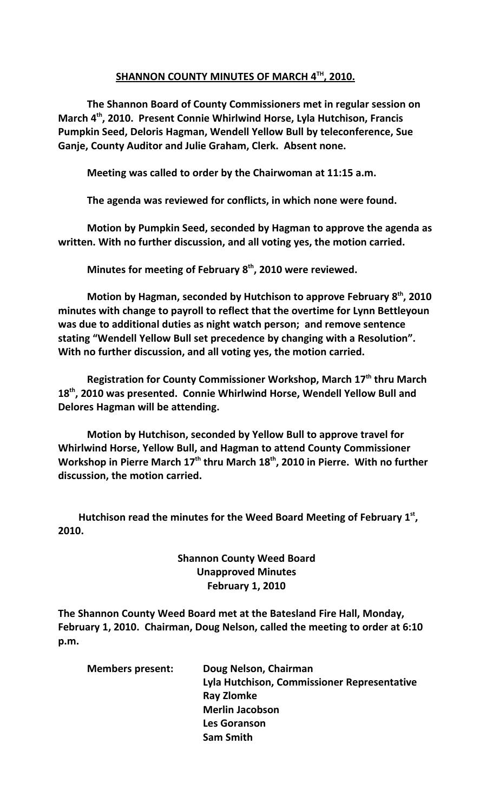## **SHANNON COUNTY MINUTES OF MARCH 4TH , 2010.**

**The Shannon Board of County Commissioners met in regular session on March 4th, 2010. Present Connie Whirlwind Horse, Lyla Hutchison, Francis Pumpkin Seed, Deloris Hagman, Wendell Yellow Bull by teleconference, Sue Ganje, County Auditor and Julie Graham, Clerk. Absent none.** 

**Meeting was called to order by the Chairwoman at 11:15 a.m.**

**The agenda was reviewed for conflicts, in which none were found.**

**Motion by Pumpkin Seed, seconded by Hagman to approve the agenda as written. With no further discussion, and all voting yes, the motion carried.**

**Minutes for meeting of February 8th, 2010 were reviewed.** 

**Motion by Hagman, seconded by Hutchison to approve February 8th, 2010 minutes with change to payroll to reflect that the overtime for Lynn Bettleyoun was due to additional duties as night watch person; and remove sentence stating "Wendell Yellow Bull set precedence by changing with a Resolution". With no further discussion, and all voting yes, the motion carried.**

**Registration for County Commissioner Workshop, March 17th thru March 18th, 2010 was presented. Connie Whirlwind Horse, Wendell Yellow Bull and Delores Hagman will be attending.**

**Motion by Hutchison, seconded by Yellow Bull to approve travel for Whirlwind Horse, Yellow Bull, and Hagman to attend County Commissioner Workshop in Pierre March 17th thru March 18th, 2010 in Pierre. With no further discussion, the motion carried.**

 **Hutchison read the minutes for the Weed Board Meeting of February 1st , 2010.**

> **Shannon County Weed Board Unapproved Minutes February 1, 2010**

**The Shannon County Weed Board met at the Batesland Fire Hall, Monday, February 1, 2010. Chairman, Doug Nelson, called the meeting to order at 6:10 p.m.**

**Members present: Doug Nelson, Chairman Lyla Hutchison, Commissioner Representative Ray Zlomke Merlin Jacobson Les Goranson Sam Smith**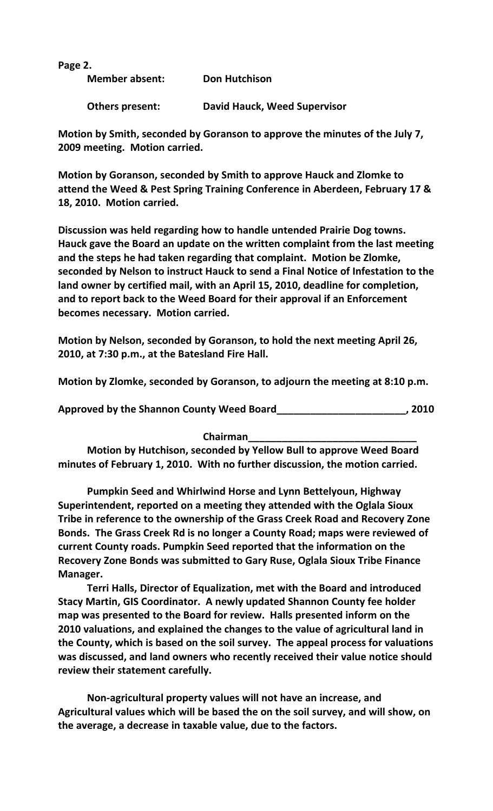**Page 2.**

| <b>Member absent:</b><br><b>Don Hutchison</b> |  |
|-----------------------------------------------|--|
|-----------------------------------------------|--|

**Others present: David Hauck, Weed Supervisor**

**Motion by Smith, seconded by Goranson to approve the minutes of the July 7, 2009 meeting. Motion carried.**

**Motion by Goranson, seconded by Smith to approve Hauck and Zlomke to attend the Weed & Pest Spring Training Conference in Aberdeen, February 17 & 18, 2010. Motion carried.**

**Discussion was held regarding how to handle untended Prairie Dog towns. Hauck gave the Board an update on the written complaint from the last meeting and the steps he had taken regarding that complaint. Motion be Zlomke, seconded by Nelson to instruct Hauck to send a Final Notice of Infestation to the land owner by certified mail, with an April 15, 2010, deadline for completion, and to report back to the Weed Board for their approval if an Enforcement becomes necessary. Motion carried.**

**Motion by Nelson, seconded by Goranson, to hold the next meeting April 26, 2010, at 7:30 p.m., at the Batesland Fire Hall.**

**Motion by Zlomke, seconded by Goranson, to adjourn the meeting at 8:10 p.m.**

**Approved by the Shannon County Weed Board\_\_\_\_\_\_\_\_\_\_\_\_\_\_\_\_\_\_\_\_\_\_\_, 2010**

**Chairman\_\_\_\_\_\_\_\_\_\_\_\_\_\_\_\_\_\_\_\_\_\_\_\_\_\_\_\_\_\_**

**Motion by Hutchison, seconded by Yellow Bull to approve Weed Board minutes of February 1, 2010. With no further discussion, the motion carried.**

**Pumpkin Seed and Whirlwind Horse and Lynn Bettelyoun, Highway Superintendent, reported on a meeting they attended with the Oglala Sioux Tribe in reference to the ownership of the Grass Creek Road and Recovery Zone Bonds. The Grass Creek Rd is no longer a County Road; maps were reviewed of current County roads. Pumpkin Seed reported that the information on the Recovery Zone Bonds was submitted to Gary Ruse, Oglala Sioux Tribe Finance Manager.** 

**Terri Halls, Director of Equalization, met with the Board and introduced Stacy Martin, GIS Coordinator. A newly updated Shannon County fee holder map was presented to the Board for review. Halls presented inform on the 2010 valuations, and explained the changes to the value of agricultural land in the County, which is based on the soil survey. The appeal process for valuations was discussed, and land owners who recently received their value notice should review their statement carefully.**

**Non-agricultural property values will not have an increase, and Agricultural values which will be based the on the soil survey, and will show, on the average, a decrease in taxable value, due to the factors.**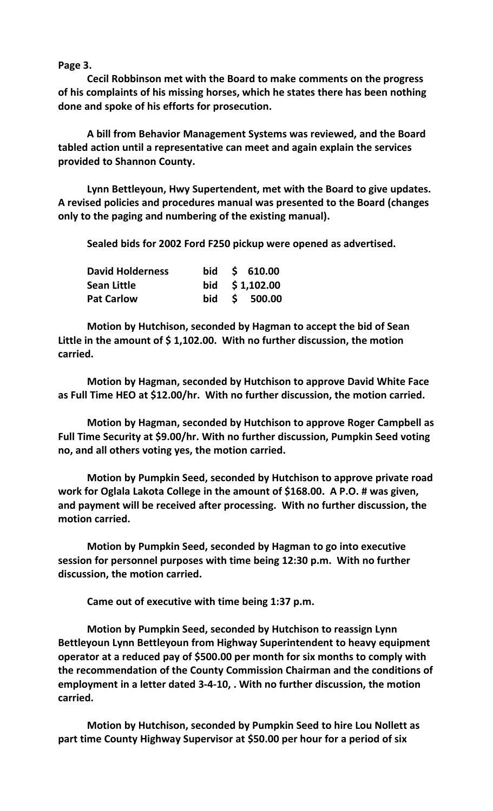## **Page 3.**

**Cecil Robbinson met with the Board to make comments on the progress of his complaints of his missing horses, which he states there has been nothing done and spoke of his efforts for prosecution.**

**A bill from Behavior Management Systems was reviewed, and the Board tabled action until a representative can meet and again explain the services provided to Shannon County.**

**Lynn Bettleyoun, Hwy Supertendent, met with the Board to give updates. A revised policies and procedures manual was presented to the Board (changes only to the paging and numbering of the existing manual).**

**Sealed bids for 2002 Ford F250 pickup were opened as advertised.**

| <b>David Holderness</b> |  | bid \$ 610.00   |
|-------------------------|--|-----------------|
| Sean Little             |  | bid $$1,102.00$ |
| <b>Pat Carlow</b>       |  | bid \$ 500.00   |

**Motion by Hutchison, seconded by Hagman to accept the bid of Sean Little in the amount of \$ 1,102.00. With no further discussion, the motion carried.**

**Motion by Hagman, seconded by Hutchison to approve David White Face as Full Time HEO at \$12.00/hr. With no further discussion, the motion carried.**

**Motion by Hagman, seconded by Hutchison to approve Roger Campbell as Full Time Security at \$9.00/hr. With no further discussion, Pumpkin Seed voting no, and all others voting yes, the motion carried.**

**Motion by Pumpkin Seed, seconded by Hutchison to approve private road work for Oglala Lakota College in the amount of \$168.00. A P.O. # was given, and payment will be received after processing. With no further discussion, the motion carried.**

**Motion by Pumpkin Seed, seconded by Hagman to go into executive session for personnel purposes with time being 12:30 p.m. With no further discussion, the motion carried.**

**Came out of executive with time being 1:37 p.m.**

**Motion by Pumpkin Seed, seconded by Hutchison to reassign Lynn Bettleyoun Lynn Bettleyoun from Highway Superintendent to heavy equipment operator at a reduced pay of \$500.00 per month for six months to comply with the recommendation of the County Commission Chairman and the conditions of employment in a letter dated 3-4-10, . With no further discussion, the motion carried.**

**Motion by Hutchison, seconded by Pumpkin Seed to hire Lou Nollett as part time County Highway Supervisor at \$50.00 per hour for a period of six**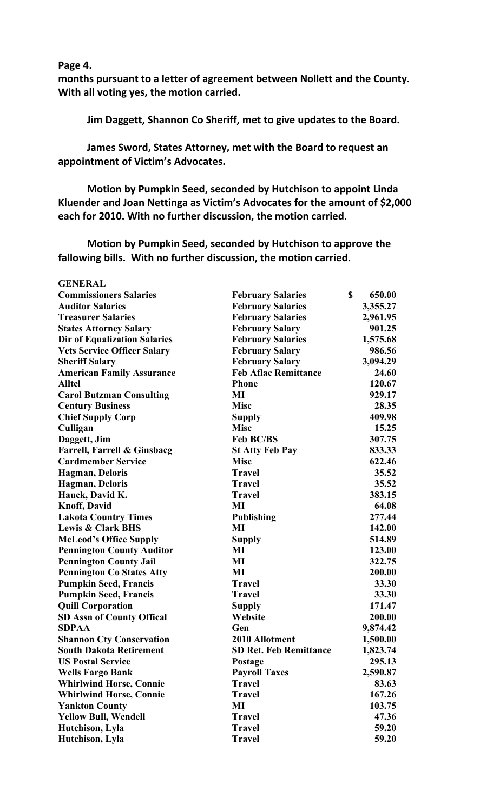## **Page 4.**

**months pursuant to a letter of agreement between Nollett and the County. With all voting yes, the motion carried.**

**Jim Daggett, Shannon Co Sheriff, met to give updates to the Board.**

**James Sword, States Attorney, met with the Board to request an appointment of Victim's Advocates.**

**Motion by Pumpkin Seed, seconded by Hutchison to appoint Linda Kluender and Joan Nettinga as Victim's Advocates for the amount of \$2,000 each for 2010. With no further discussion, the motion carried.**

**Motion by Pumpkin Seed, seconded by Hutchison to approve the fallowing bills. With no further discussion, the motion carried.**

| <b>GENERAL</b>                      |                               |              |
|-------------------------------------|-------------------------------|--------------|
| <b>Commissioners Salaries</b>       | <b>February Salaries</b>      | \$<br>650.00 |
| <b>Auditor Salaries</b>             | <b>February Salaries</b>      | 3,355.27     |
| <b>Treasurer Salaries</b>           | <b>February Salaries</b>      | 2,961.95     |
| <b>States Attorney Salary</b>       | <b>February Salary</b>        | 901.25       |
| <b>Dir of Equalization Salaries</b> | <b>February Salaries</b>      | 1,575.68     |
| <b>Vets Service Officer Salary</b>  | <b>February Salary</b>        | 986.56       |
| <b>Sheriff Salary</b>               | <b>February Salary</b>        | 3,094.29     |
| <b>American Family Assurance</b>    | <b>Feb Aflac Remittance</b>   | 24.60        |
| <b>Alltel</b>                       | <b>Phone</b>                  | 120.67       |
| <b>Carol Butzman Consulting</b>     | MI                            | 929.17       |
| <b>Century Business</b>             | <b>Misc</b>                   | 28.35        |
| <b>Chief Supply Corp</b>            | <b>Supply</b>                 | 409.98       |
| Culligan                            | <b>Misc</b>                   | 15.25        |
| Daggett, Jim                        | <b>Feb BC/BS</b>              | 307.75       |
| Farrell, Farrell & Ginsbacg         | <b>St Atty Feb Pay</b>        | 833.33       |
| <b>Cardmember Service</b>           | <b>Misc</b>                   | 622.46       |
| <b>Hagman, Deloris</b>              | <b>Travel</b>                 | 35.52        |
| <b>Hagman</b> , Deloris             | <b>Travel</b>                 | 35.52        |
| Hauck, David K.                     | <b>Travel</b>                 | 383.15       |
| <b>Knoff, David</b>                 | MI                            | 64.08        |
| <b>Lakota Country Times</b>         | <b>Publishing</b>             | 277.44       |
| <b>Lewis &amp; Clark BHS</b>        | MI                            | 142.00       |
| <b>McLeod's Office Supply</b>       | <b>Supply</b>                 | 514.89       |
| <b>Pennington County Auditor</b>    | MI                            | 123.00       |
| <b>Pennington County Jail</b>       | MI                            | 322.75       |
| <b>Pennington Co States Atty</b>    | MI                            | 200.00       |
| <b>Pumpkin Seed, Francis</b>        | <b>Travel</b>                 | 33.30        |
| <b>Pumpkin Seed, Francis</b>        | <b>Travel</b>                 | 33.30        |
| <b>Quill Corporation</b>            | <b>Supply</b>                 | 171.47       |
| <b>SD Assn of County Offical</b>    | Website                       | 200.00       |
| <b>SDPAA</b>                        | Gen                           | 9,874.42     |
| <b>Shannon Cty Conservation</b>     | 2010 Allotment                | 1,500.00     |
| <b>South Dakota Retirement</b>      | <b>SD Ret. Feb Remittance</b> | 1,823.74     |
| <b>US Postal Service</b>            | Postage                       | 295.13       |
| <b>Wells Fargo Bank</b>             | <b>Payroll Taxes</b>          | 2,590.87     |
| <b>Whirlwind Horse, Connie</b>      | <b>Travel</b>                 | 83.63        |
| <b>Whirlwind Horse, Connie</b>      | <b>Travel</b>                 | 167.26       |
| <b>Yankton County</b>               | MI                            | 103.75       |
| <b>Yellow Bull, Wendell</b>         | <b>Travel</b>                 | 47.36        |
| Hutchison, Lyla                     | <b>Travel</b>                 | 59.20        |
| Hutchison, Lyla                     | <b>Travel</b>                 | 59.20        |
|                                     |                               |              |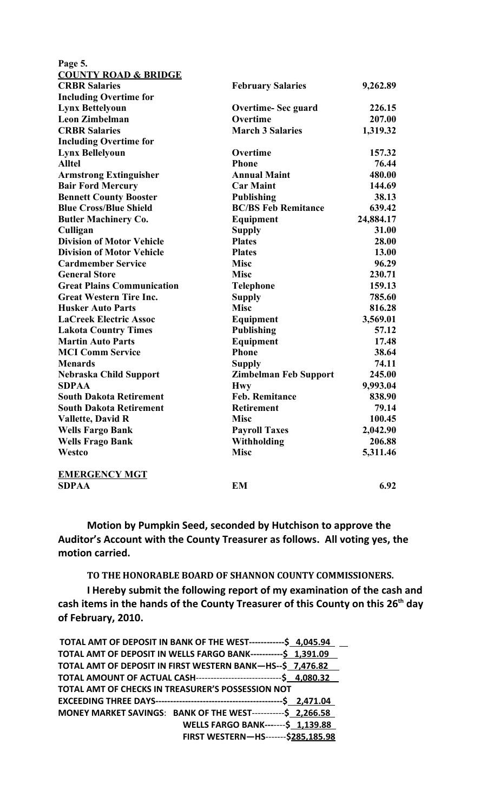| Page 5.                           |                              |           |
|-----------------------------------|------------------------------|-----------|
| <b>COUNTY ROAD &amp; BRIDGE</b>   |                              |           |
| <b>CRBR Salaries</b>              | <b>February Salaries</b>     | 9,262.89  |
| <b>Including Overtime for</b>     |                              |           |
| <b>Lynx Bettelyoun</b>            | <b>Overtime-Sec guard</b>    | 226.15    |
| <b>Leon Zimbelman</b>             | Overtime                     | 207.00    |
| <b>CRBR Salaries</b>              | <b>March 3 Salaries</b>      | 1,319.32  |
| <b>Including Overtime for</b>     |                              |           |
| <b>Lynx Bellelyoun</b>            | Overtime                     | 157.32    |
| <b>Alltel</b>                     | <b>Phone</b>                 | 76.44     |
| <b>Armstrong Extinguisher</b>     | <b>Annual Maint</b>          | 480.00    |
| <b>Bair Ford Mercury</b>          | <b>Car Maint</b>             | 144.69    |
| <b>Bennett County Booster</b>     | <b>Publishing</b>            | 38.13     |
| <b>Blue Cross/Blue Shield</b>     | <b>BC/BS Feb Remitance</b>   | 639.42    |
| <b>Butler Machinery Co.</b>       | <b>Equipment</b>             | 24,884.17 |
| Culligan                          | <b>Supply</b>                | 31.00     |
| <b>Division of Motor Vehicle</b>  | <b>Plates</b>                | 28.00     |
| <b>Division of Motor Vehicle</b>  | <b>Plates</b>                | 13.00     |
| <b>Cardmember Service</b>         | <b>Misc</b>                  | 96.29     |
| <b>General Store</b>              | <b>Misc</b>                  | 230.71    |
| <b>Great Plains Communication</b> | <b>Telephone</b>             | 159.13    |
| <b>Great Western Tire Inc.</b>    | <b>Supply</b>                | 785.60    |
| <b>Husker Auto Parts</b>          | <b>Misc</b>                  | 816.28    |
| <b>LaCreek Electric Assoc</b>     | Equipment                    | 3,569.01  |
| <b>Lakota Country Times</b>       | <b>Publishing</b>            | 57.12     |
| <b>Martin Auto Parts</b>          | Equipment                    | 17.48     |
| <b>MCI Comm Service</b>           | <b>Phone</b>                 | 38.64     |
| <b>Menards</b>                    | <b>Supply</b>                | 74.11     |
| <b>Nebraska Child Support</b>     | <b>Zimbelman Feb Support</b> | 245.00    |
| <b>SDPAA</b>                      | <b>Hwy</b>                   | 9,993.04  |
| <b>South Dakota Retirement</b>    | <b>Feb. Remitance</b>        | 838.90    |
| <b>South Dakota Retirement</b>    | <b>Retirement</b>            | 79.14     |
| <b>Vallette, David R</b>          | <b>Misc</b>                  | 100.45    |
| <b>Wells Fargo Bank</b>           | <b>Payroll Taxes</b>         | 2,042.90  |
| <b>Wells Frago Bank</b>           | Withholding                  | 206.88    |
| Westco                            | <b>Misc</b>                  | 5,311.46  |
| <b>EMERGENCY MGT</b>              |                              |           |
| <b>SDPAA</b>                      | EM                           | 6.92      |

**Motion by Pumpkin Seed, seconded by Hutchison to approve the Auditor's Account with the County Treasurer as follows. All voting yes, the motion carried.**

**TO THE HONORABLE BOARD OF SHANNON COUNTY COMMISSIONERS.** 

**I Hereby submit the following report of my examination of the cash and cash items in the hands of the County Treasurer of this County on this 26th day of February, 2010.**

| TOTAL AMT OF DEPOSIT IN BANK OF THE WEST-------------\$ 4,045.94        |                                           |
|-------------------------------------------------------------------------|-------------------------------------------|
| TOTAL AMT OF DEPOSIT IN WELLS FARGO BANK------------\$ 1,391.09         |                                           |
| TOTAL AMT OF DEPOSIT IN FIRST WESTERN BANK-HS--\$ 7,476.82              |                                           |
| TOTAL AMOUNT OF ACTUAL CASH---------------------------------\$ 4,080.32 |                                           |
| TOTAL AMT OF CHECKS IN TREASURER'S POSSESSION NOT                       |                                           |
|                                                                         |                                           |
| MONEY MARKET SAVINGS: BANK OF THE WEST-----------\$ 2,266.58            |                                           |
|                                                                         | <b>WELLS FARGO BANK-------\$ 1,139.88</b> |
|                                                                         | FIRST WESTERN-HS-------\$285,185.98       |